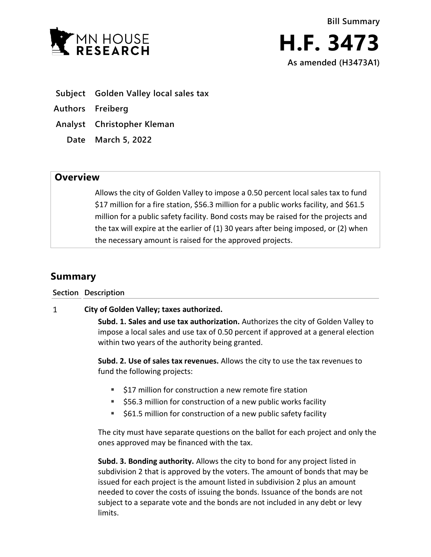

- **Subject Golden Valley local sales tax**
- **Authors Freiberg**
- **Analyst Christopher Kleman**
	- **Date March 5, 2022**

## **Overview**

Allows the city of Golden Valley to impose a 0.50 percent local sales tax to fund \$17 million for a fire station, \$56.3 million for a public works facility, and \$61.5 million for a public safety facility. Bond costs may be raised for the projects and the tax will expire at the earlier of (1) 30 years after being imposed, or (2) when the necessary amount is raised for the approved projects.

## **Summary**

**Section Description**

## $\mathbf{1}$ **City of Golden Valley; taxes authorized.**

**Subd. 1. Sales and use tax authorization.** Authorizes the city of Golden Valley to impose a local sales and use tax of 0.50 percent if approved at a general election within two years of the authority being granted.

**Subd. 2. Use of sales tax revenues.** Allows the city to use the tax revenues to fund the following projects:

- \$17 million for construction a new remote fire station
- \$56.3 million for construction of a new public works facility
- $\approx$  \$61.5 million for construction of a new public safety facility

The city must have separate questions on the ballot for each project and only the ones approved may be financed with the tax.

**Subd. 3. Bonding authority.** Allows the city to bond for any project listed in subdivision 2 that is approved by the voters. The amount of bonds that may be issued for each project is the amount listed in subdivision 2 plus an amount needed to cover the costs of issuing the bonds. Issuance of the bonds are not subject to a separate vote and the bonds are not included in any debt or levy limits.